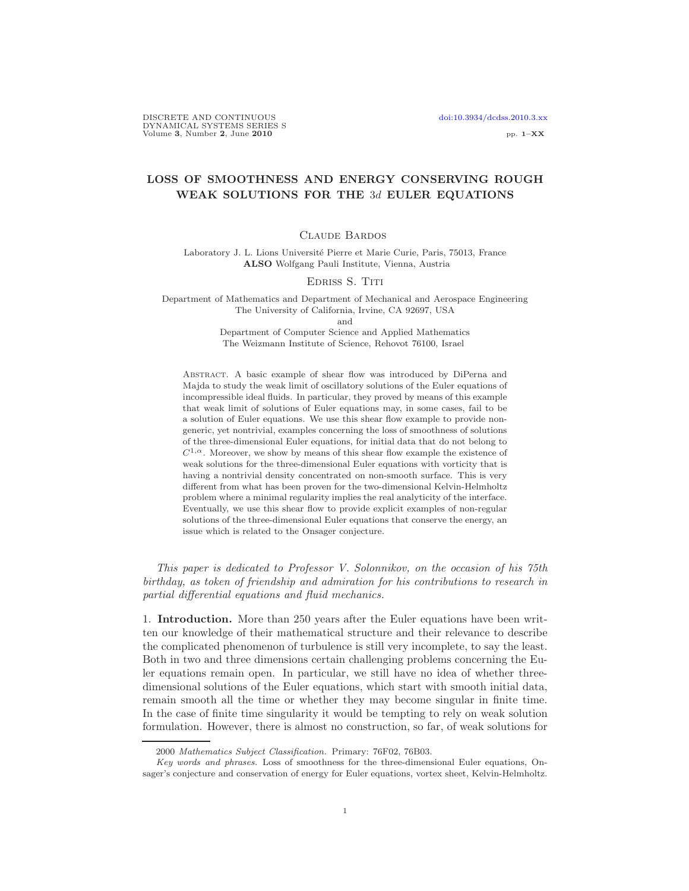# LOSS OF SMOOTHNESS AND ENERGY CONSERVING ROUGH WEAK SOLUTIONS FOR THE 3d EULER EQUATIONS

## Claude Bardos

Laboratory J. L. Lions Université Pierre et Marie Curie, Paris, 75013, France ALSO Wolfgang Pauli Institute, Vienna, Austria

### Edriss S. Titi

Department of Mathematics and Department of Mechanical and Aerospace Engineering The University of California, Irvine, CA 92697, USA and

Department of Computer Science and Applied Mathematics The Weizmann Institute of Science, Rehovot 76100, Israel

Abstract. A basic example of shear flow was introduced by DiPerna and Majda to study the weak limit of oscillatory solutions of the Euler equations of incompressible ideal fluids. In particular, they proved by means of this example that weak limit of solutions of Euler equations may, in some cases, fail to be a solution of Euler equations. We use this shear flow example to provide nongeneric, yet nontrivial, examples concerning the loss of smoothness of solutions of the three-dimensional Euler equations, for initial data that do not belong to  $C^{1,\alpha}$ . Moreover, we show by means of this shear flow example the existence of weak solutions for the three-dimensional Euler equations with vorticity that is having a nontrivial density concentrated on non-smooth surface. This is very different from what has been proven for the two-dimensional Kelvin-Helmholtz problem where a minimal regularity implies the real analyticity of the interface. Eventually, we use this shear flow to provide explicit examples of non-regular solutions of the three-dimensional Euler equations that conserve the energy, an issue which is related to the Onsager conjecture.

This paper is dedicated to Professor V. Solonnikov, on the occasion of his 75th birthday, as token of friendship and admiration for his contributions to research in partial differential equations and fluid mechanics.

1. Introduction. More than 250 years after the Euler equations have been written our knowledge of their mathematical structure and their relevance to describe the complicated phenomenon of turbulence is still very incomplete, to say the least. Both in two and three dimensions certain challenging problems concerning the Euler equations remain open. In particular, we still have no idea of whether threedimensional solutions of the Euler equations, which start with smooth initial data, remain smooth all the time or whether they may become singular in finite time. In the case of finite time singularity it would be tempting to rely on weak solution formulation. However, there is almost no construction, so far, of weak solutions for

<sup>2000</sup> Mathematics Subject Classification. Primary: 76F02, 76B03.

Key words and phrases. Loss of smoothness for the three-dimensional Euler equations, Onsager's conjecture and conservation of energy for Euler equations, vortex sheet, Kelvin-Helmholtz.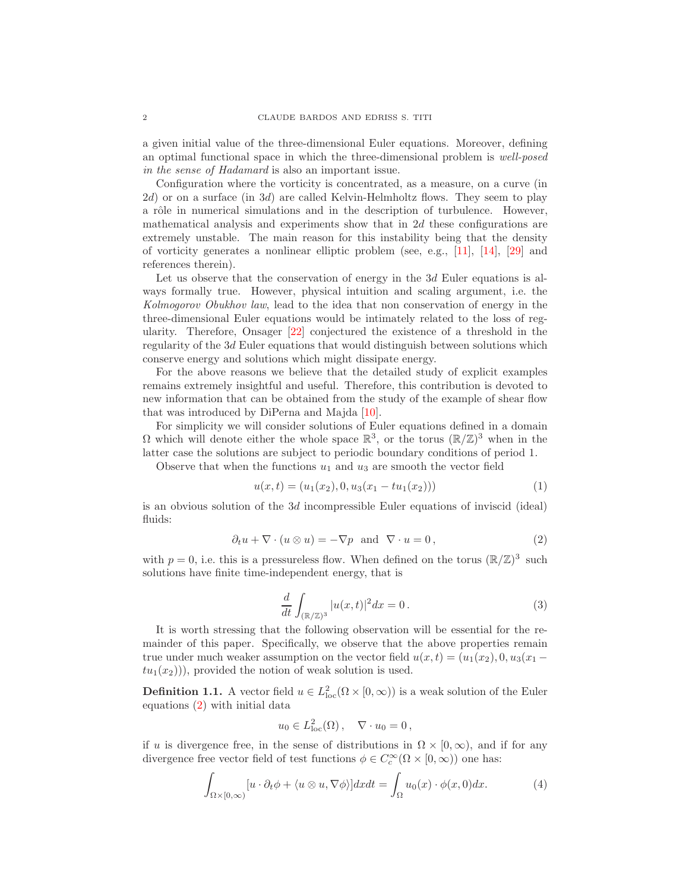a given initial value of the three-dimensional Euler equations. Moreover, defining an optimal functional space in which the three-dimensional problem is well-posed in the sense of Hadamard is also an important issue.

Configuration where the vorticity is concentrated, as a measure, on a curve (in  $2d$ ) or on a surface (in  $3d$ ) are called Kelvin-Helmholtz flows. They seem to play a rôle in numerical simulations and in the description of turbulence. However, mathematical analysis and experiments show that in  $2d$  these configurations are extremely unstable. The main reason for this instability being that the density of vorticity generates a nonlinear elliptic problem (see, e.g., [\[11\]](#page-12-0), [\[14\]](#page-12-1), [\[29\]](#page-12-2) and references therein).

Let us observe that the conservation of energy in the 3d Euler equations is always formally true. However, physical intuition and scaling argument, i.e. the Kolmogorov Obukhov law, lead to the idea that non conservation of energy in the three-dimensional Euler equations would be intimately related to the loss of regularity. Therefore, Onsager [\[22\]](#page-12-3) conjectured the existence of a threshold in the regularity of the 3d Euler equations that would distinguish between solutions which conserve energy and solutions which might dissipate energy.

For the above reasons we believe that the detailed study of explicit examples remains extremely insightful and useful. Therefore, this contribution is devoted to new information that can be obtained from the study of the example of shear flow that was introduced by DiPerna and Majda [\[10\]](#page-12-4).

For simplicity we will consider solutions of Euler equations defined in a domain  $\Omega$  which will denote either the whole space  $\mathbb{R}^3$ , or the torus  $(\mathbb{R}/\mathbb{Z})^3$  when in the latter case the solutions are subject to periodic boundary conditions of period 1.

<span id="page-1-1"></span>Observe that when the functions  $u_1$  and  $u_3$  are smooth the vector field

$$
u(x,t) = (u_1(x_2), 0, u_3(x_1 - tu_1(x_2)))
$$
\n(1)

is an obvious solution of the 3d incompressible Euler equations of inviscid (ideal) fluids:

$$
\partial_t u + \nabla \cdot (u \otimes u) = -\nabla p \text{ and } \nabla \cdot u = 0,
$$
\n(2)

<span id="page-1-0"></span>with  $p = 0$ , i.e. this is a pressureless flow. When defined on the torus  $(\mathbb{R}/\mathbb{Z})^3$  such solutions have finite time-independent energy, that is

$$
\frac{d}{dt} \int_{(\mathbb{R}/\mathbb{Z})^3} |u(x,t)|^2 dx = 0.
$$
\n(3)

It is worth stressing that the following observation will be essential for the remainder of this paper. Specifically, we observe that the above properties remain true under much weaker assumption on the vector field  $u(x,t)=(u_1(x_2), 0, u_3(x_1$  $tu_1(x_2)$ , provided the notion of weak solution is used.

<span id="page-1-2"></span>**Definition 1.1.** A vector field  $u \in L^2_{loc}(\Omega \times [0, \infty))$  is a weak solution of the Euler equations [\(2\)](#page-1-0) with initial data

$$
u_0 \in L^2_{\text{loc}}(\Omega), \quad \nabla \cdot u_0 = 0,
$$

<span id="page-1-3"></span>if u is divergence free, in the sense of distributions in  $\Omega \times [0,\infty)$ , and if for any divergence free vector field of test functions  $\phi \in C_c^{\infty}(\Omega \times [0, \infty))$  one has:

$$
\int_{\Omega \times [0,\infty)} [u \cdot \partial_t \phi + \langle u \otimes u, \nabla \phi \rangle] dx dt = \int_{\Omega} u_0(x) \cdot \phi(x,0) dx.
$$
 (4)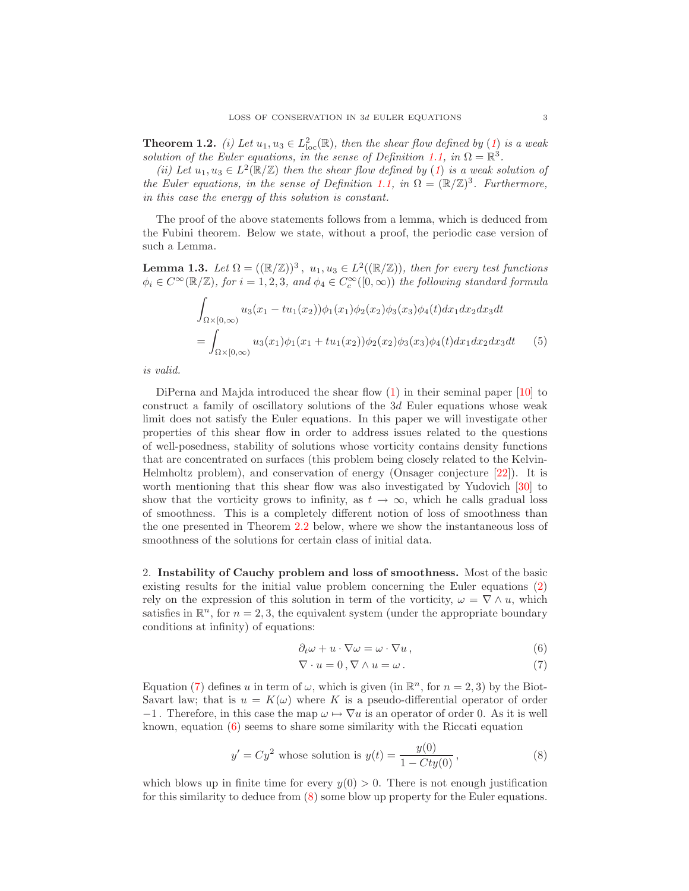**Theorem [1](#page-1-1).2.** (i) Let  $u_1, u_3 \in L^2_{loc}(\mathbb{R})$ , then the shear flow defined by (1) is a weak solution of the Euler equations, in the sense of Definition [1.1,](#page-1-2) in  $\Omega = \mathbb{R}^3$ .

(ii) Let  $u_1, u_3 \in L^2(\mathbb{R}/\mathbb{Z})$  $u_1, u_3 \in L^2(\mathbb{R}/\mathbb{Z})$  $u_1, u_3 \in L^2(\mathbb{R}/\mathbb{Z})$  then the shear flow defined by (1) is a weak solution of the Euler equations, in the sense of Definition [1.1,](#page-1-2) in  $\Omega = (\mathbb{R}/\mathbb{Z})^3$ . Furthermore, in this case the energy of this solution is constant.

The proof of the above statements follows from a lemma, which is deduced from the Fubini theorem. Below we state, without a proof, the periodic case version of such a Lemma.

**Lemma 1.3.** Let  $\Omega = ((\mathbb{R}/\mathbb{Z}))^3$ ,  $u_1, u_3 \in L^2((\mathbb{R}/\mathbb{Z}))$ , then for every test functions  $\phi_i \in C^{\infty}(\mathbb{R}/\mathbb{Z})$ , for  $i = 1, 2, 3$ , and  $\phi_4 \in C_c^{\infty}([0, \infty))$  the following standard formula

$$
\int_{\Omega \times [0,\infty)} u_3(x_1 - tu_1(x_2))\phi_1(x_1)\phi_2(x_2)\phi_3(x_3)\phi_4(t)dx_1dx_2dx_3dt
$$
\n
$$
= \int_{\Omega \times [0,\infty)} u_3(x_1)\phi_1(x_1 + tu_1(x_2))\phi_2(x_2)\phi_3(x_3)\phi_4(t)dx_1dx_2dx_3dt \qquad (5)
$$

is valid.

DiPerna and Majda introduced the shear flow [\(1\)](#page-1-1) in their seminal paper [\[10\]](#page-12-4) to construct a family of oscillatory solutions of the 3d Euler equations whose weak limit does not satisfy the Euler equations. In this paper we will investigate other properties of this shear flow in order to address issues related to the questions of well-posedness, stability of solutions whose vorticity contains density functions that are concentrated on surfaces (this problem being closely related to the Kelvin-Helmholtz problem), and conservation of energy (Onsager conjecture [\[22\]](#page-12-3)). It is worth mentioning that this shear flow was also investigated by Yudovich [\[30\]](#page-12-5) to show that the vorticity grows to infinity, as  $t \to \infty$ , which he calls gradual loss of smoothness. This is a completely different notion of loss of smoothness than the one presented in Theorem [2.2](#page-3-0) below, where we show the instantaneous loss of smoothness of the solutions for certain class of initial data.

<span id="page-2-2"></span>2. Instability of Cauchy problem and loss of smoothness. Most of the basic existing results for the initial value problem concerning the Euler equations [\(2\)](#page-1-0) rely on the expression of this solution in term of the vorticity,  $\omega = \nabla \wedge u$ , which satisfies in  $\mathbb{R}^n$ , for  $n = 2, 3$ , the equivalent system (under the appropriate boundary conditions at infinity) of equations:

$$
\partial_t \omega + u \cdot \nabla \omega = \omega \cdot \nabla u \,, \tag{6}
$$

$$
\nabla \cdot u = 0, \nabla \wedge u = \omega. \tag{7}
$$

<span id="page-2-0"></span>Equation [\(7\)](#page-2-0) defines u in term of  $\omega$ , which is given (in  $\mathbb{R}^n$ , for  $n = 2, 3$ ) by the Biot-Savart law; that is  $u = K(\omega)$  where K is a pseudo-differential operator of order  $-1$ . Therefore, in this case the map  $\omega \mapsto \nabla u$  is an operator of order 0. As it is well known, equation [\(6\)](#page-2-0) seems to share some similarity with the Riccati equation

$$
y' = Cy^2
$$
 whose solution is  $y(t) = \frac{y(0)}{1 - Cty(0)}$ , (8)

<span id="page-2-1"></span>which blows up in finite time for every  $y(0) > 0$ . There is not enough justification for this similarity to deduce from [\(8\)](#page-2-1) some blow up property for the Euler equations.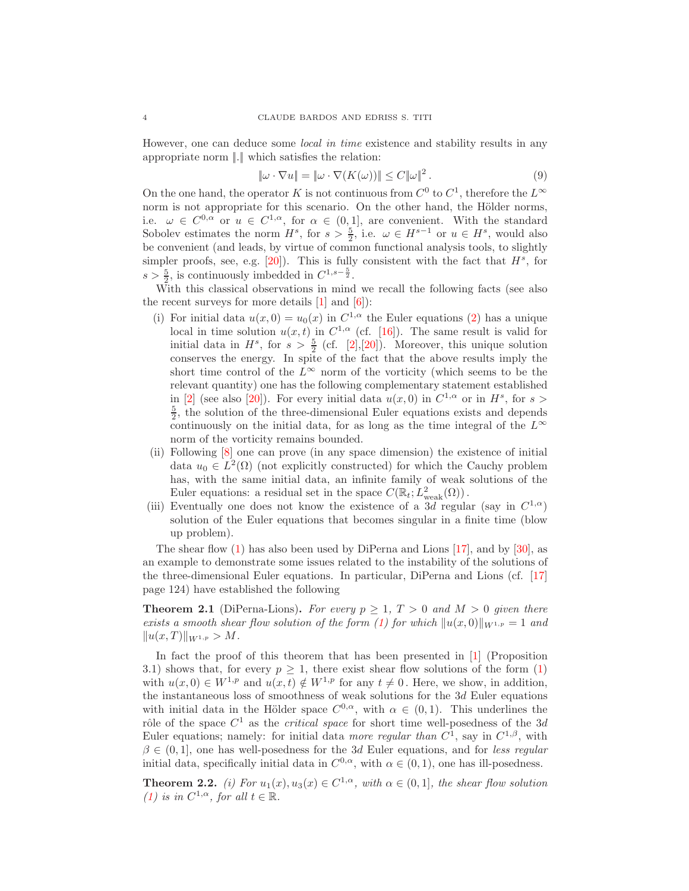However, one can deduce some local in time existence and stability results in any appropriate norm  $\|.\|$  which satisfies the relation:

$$
\|\omega \cdot \nabla u\| = \|\omega \cdot \nabla (K(\omega))\| \le C \|\omega\|^2. \tag{9}
$$

On the one hand, the operator K is not continuous from  $C^0$  to  $C^1$ , therefore the  $L^{\infty}$ norm is not appropriate for this scenario. On the other hand, the Hölder norms, i.e.  $\omega \in C^{0,\alpha}$  or  $u \in C^{1,\alpha}$ , for  $\alpha \in (0,1]$ , are convenient. With the standard Sobolev estimates the norm  $H^s$ , for  $s > \frac{5}{2}$ , i.e.  $\omega \in H^{s-1}$  or  $u \in H^s$ , would also be convenient (and leads, by virtue of common functional analysis tools, to slightly simpler proofs, see, e.g.  $[20]$ . This is fully consistent with the fact that  $H^s$ , for  $s > \frac{5}{2}$ , is continuously imbedded in  $C^{1,s-\frac{5}{2}}$ .

With this classical observations in mind we recall the following facts (see also the recent surveys for more details  $[1]$  and  $[6]$ :

- (i) For initial data  $u(x, 0) = u_0(x)$  in  $C^{1,\alpha}$  the Euler equations [\(2\)](#page-1-0) has a unique local in time solution  $u(x, t)$  in  $C^{1,\alpha}$  (cf. [\[16\]](#page-12-7)). The same result is valid for initial data in  $H^s$ , for  $s > \frac{5}{2}$  (cf. [\[2\]](#page-11-2), [\[20\]](#page-12-6)). Moreover, this unique solution conserves the energy. In spite of the fact that the above results imply the short time control of the  $L^{\infty}$  norm of the vorticity (which seems to be the relevant quantity) one has the following complementary statement established in [\[2\]](#page-11-2) (see also [\[20\]](#page-12-6)). For every initial data  $u(x, 0)$  in  $C^{1,\alpha}$  or in  $H^s$ , for  $s >$  $\frac{5}{2}$ , the solution of the three-dimensional Euler equations exists and depends continuously on the initial data, for as long as the time integral of the  $L^{\infty}$ norm of the vorticity remains bounded.
- (ii) Following [\[8\]](#page-12-8) one can prove (in any space dimension) the existence of initial data  $u_0 \in L^2(\Omega)$  (not explicitly constructed) for which the Cauchy problem has, with the same initial data, an infinite family of weak solutions of the Euler equations: a residual set in the space  $C(\mathbb{R}_t; L^2_{weak}(\Omega))$ .
- (iii) Eventually one does not know the existence of a 3d regular (say in  $C^{1,\alpha}$ ) solution of the Euler equations that becomes singular in a finite time (blow up problem).

The shear flow  $(1)$  has also been used by DiPerna and Lions [\[17\]](#page-12-9), and by [\[30\]](#page-12-5), as an example to demonstrate some issues related to the instability of the solutions of the three-dimensional Euler equations. In particular, DiPerna and Lions (cf. [\[17\]](#page-12-9) page 124) have established the following

**Theorem 2.1** (DiPerna-Lions). For every  $p > 1$ ,  $T > 0$  and  $M > 0$  given there exists a smooth shear flow solution of the form [\(1\)](#page-1-1) for which  $||u(x, 0)||_{W^{1,p}} = 1$  and  $||u(x,T)||_{W^{1,p}} > M.$ 

In fact the proof of this theorem that has been presented in [\[1\]](#page-11-0) (Proposition 3.1) shows that, for every  $p \geq 1$ , there exist shear flow solutions of the form [\(1\)](#page-1-1) with  $u(x, 0) \in W^{1,p}$  and  $u(x, t) \notin W^{1,p}$  for any  $t \neq 0$ . Here, we show, in addition, the instantaneous loss of smoothness of weak solutions for the  $3d$  Euler equations with initial data in the Hölder space  $C^{0,\alpha}$ , with  $\alpha \in (0,1)$ . This underlines the rôle of the space  $C^1$  as the *critical space* for short time well-posedness of the 3d Euler equations; namely: for initial data more regular than  $C^1$ , say in  $C^{1,\beta}$ , with  $\beta \in (0, 1]$ , one has well-posedness for the 3d Euler equations, and for less regular initial data, specifically initial data in  $C^{0,\alpha}$ , with  $\alpha \in (0,1)$ , one has ill-posedness.

<span id="page-3-0"></span>**Theorem 2.2.** (i) For  $u_1(x), u_3(x) \in C^{1,\alpha}$ , with  $\alpha \in (0,1]$ , the shear flow solution [\(1\)](#page-1-1) is in  $C^{1,\alpha}$ , for all  $t \in \mathbb{R}$ .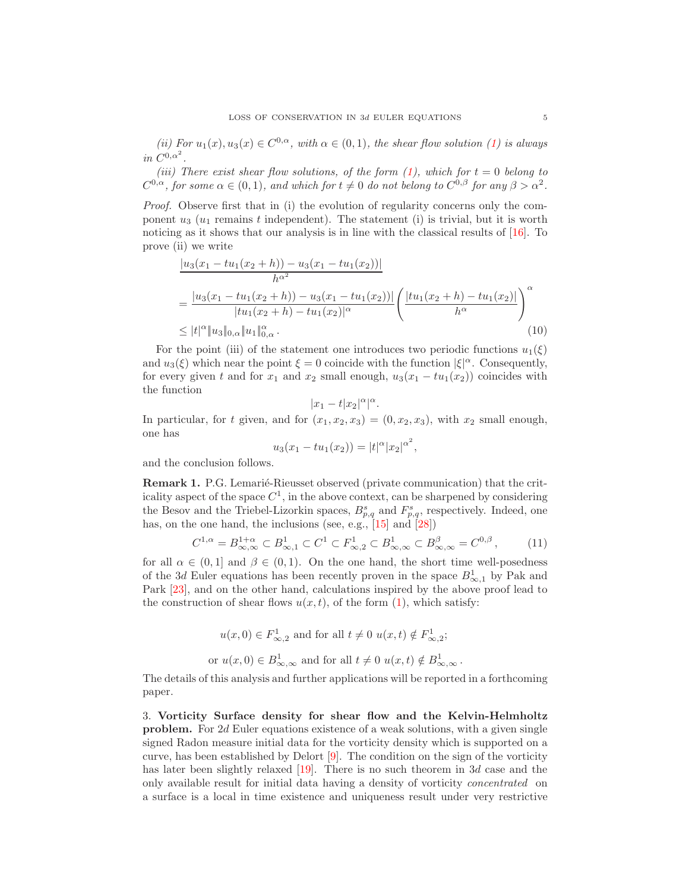(ii) For  $u_1(x), u_3(x) \in C^{0,\alpha}$ , with  $\alpha \in (0,1)$ , the shear flow solution [\(1\)](#page-1-1) is always in  $C^{0,\alpha^2}$ .

(iii) There exist shear flow solutions, of the form  $(1)$ , which for  $t = 0$  belong to  $C^{0,\alpha}$ , for some  $\alpha \in (0,1)$ , and which for  $t \neq 0$  do not belong to  $C^{0,\beta}$  for any  $\beta > \alpha^2$ .

Proof. Observe first that in (i) the evolution of regularity concerns only the component  $u_3$  ( $u_1$  remains t independent). The statement (i) is trivial, but it is worth noticing as it shows that our analysis is in line with the classical results of [\[16\]](#page-12-7). To prove (ii) we write

$$
\frac{|u_3(x_1 - tu_1(x_2 + h)) - u_3(x_1 - tu_1(x_2))|}{h^{\alpha^2}}
$$
\n
$$
= \frac{|u_3(x_1 - tu_1(x_2 + h)) - u_3(x_1 - tu_1(x_2))|}{|tu_1(x_2 + h) - tu_1(x_2)|^{\alpha}} \left( \frac{|tu_1(x_2 + h) - tu_1(x_2)|}{h^{\alpha}} \right)^{\alpha}
$$
\n
$$
\leq |t|^{\alpha} \|u_3\|_{0,\alpha} \|u_1\|_{0,\alpha}^{\alpha}.
$$
\n(10)

For the point (iii) of the statement one introduces two periodic functions  $u_1(\xi)$ and  $u_3(\xi)$  which near the point  $\xi = 0$  coincide with the function  $|\xi|^{\alpha}$ . Consequently, for every given t and for  $x_1$  and  $x_2$  small enough,  $u_3(x_1 - tu_1(x_2))$  coincides with the function

$$
|x_1-t|x_2|^{\alpha}|^{\alpha}.
$$

In particular, for t given, and for  $(x_1, x_2, x_3) = (0, x_2, x_3)$ , with  $x_2$  small enough, one has

$$
u_3(x_1 - tu_1(x_2)) = |t|^{\alpha} |x_2|^{\alpha^2},
$$

<span id="page-4-1"></span>and the conclusion follows.

**Remark 1.** P.G. Lemarié-Rieusset observed (private communication) that the criticality aspect of the space  $C^1$ , in the above context, can be sharpened by considering the Besov and the Triebel-Lizorkin spaces,  $B_{p,q}^s$  and  $F_{p,q}^s$ , respectively. Indeed, one has, on the one hand, the inclusions (see, e.g., [\[15\]](#page-12-10) and [\[28\]](#page-12-11))

$$
C^{1,\alpha} = B^{1+\alpha}_{\infty,\infty} \subset B^1_{\infty,1} \subset C^1 \subset F^1_{\infty,2} \subset B^1_{\infty,\infty} \subset B^{\beta}_{\infty,\infty} = C^{0,\beta},\tag{11}
$$

for all  $\alpha \in (0,1]$  and  $\beta \in (0,1)$ . On the one hand, the short time well-posedness of the 3d Euler equations has been recently proven in the space  $B_{\infty,1}^1$  by Pak and Park [\[23\]](#page-12-12), and on the other hand, calculations inspired by the above proof lead to the construction of shear flows  $u(x, t)$ , of the form  $(1)$ , which satisfy:

$$
u(x,0) \in F_{\infty,2}^1 \text{ and for all } t \neq 0 \ u(x,t) \notin F_{\infty,2}^1;
$$
  
or 
$$
u(x,0) \in B_{\infty,\infty}^1 \text{ and for all } t \neq 0 \ u(x,t) \notin B_{\infty,\infty}^1.
$$

The details of this analysis and further applications will be reported in a forthcoming paper.

<span id="page-4-0"></span>3. Vorticity Surface density for shear flow and the Kelvin-Helmholtz problem. For 2d Euler equations existence of a weak solutions, with a given single signed Radon measure initial data for the vorticity density which is supported on a curve, has been established by Delort [\[9\]](#page-12-13). The condition on the sign of the vorticity has later been slightly relaxed [\[19\]](#page-12-14). There is no such theorem in 3d case and the only available result for initial data having a density of vorticity concentrated on a surface is a local in time existence and uniqueness result under very restrictive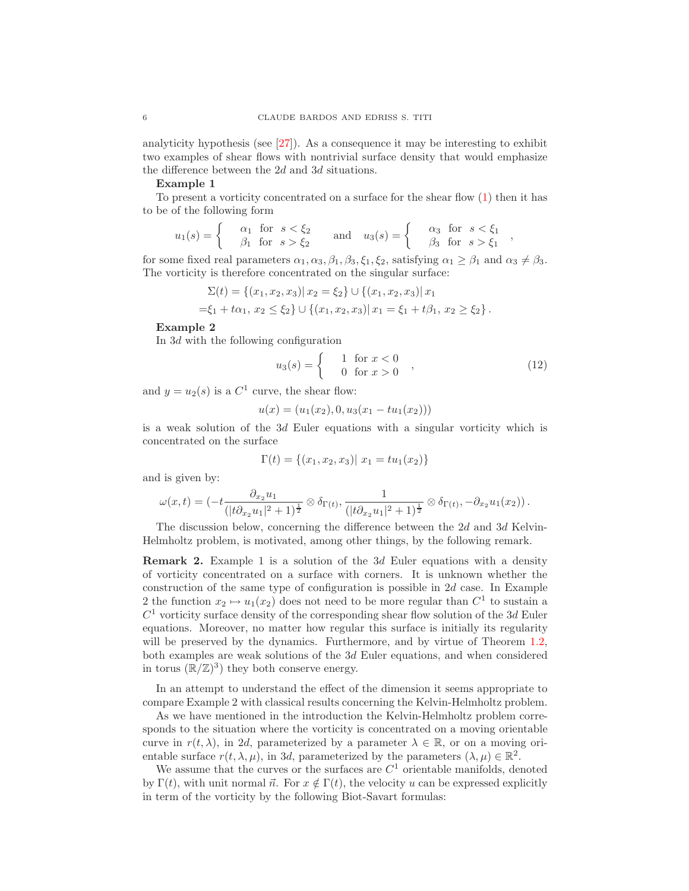analyticity hypothesis (see [\[27\]](#page-12-15)). As a consequence it may be interesting to exhibit two examples of shear flows with nontrivial surface density that would emphasize the difference between the 2d and 3d situations.

### Example 1

To present a vorticity concentrated on a surface for the shear flow  $(1)$  then it has to be of the following form

$$
u_1(s) = \begin{cases} \alpha_1 & \text{for } s < \xi_2 \\ \beta_1 & \text{for } s > \xi_2 \end{cases} \quad \text{and} \quad u_3(s) = \begin{cases} \alpha_3 & \text{for } s < \xi_1 \\ \beta_3 & \text{for } s > \xi_1 \end{cases}
$$

for some fixed real parameters  $\alpha_1, \alpha_3, \beta_1, \beta_3, \xi_1, \xi_2$ , satisfying  $\alpha_1 \geq \beta_1$  and  $\alpha_3 \neq \beta_3$ . The vorticity is therefore concentrated on the singular surface:

$$
\Sigma(t) = \{(x_1, x_2, x_3) | x_2 = \xi_2\} \cup \{(x_1, x_2, x_3) | x_1
$$
  
= $\xi_1 + t\alpha_1, x_2 \le \xi_2\} \cup \{(x_1, x_2, x_3) | x_1 = \xi_1 + t\beta_1, x_2 \ge \xi_2\}.$ 

#### Example 2

In 3d with the following configuration

$$
u_3(s) = \begin{cases} 1 & \text{for } x < 0 \\ 0 & \text{for } x > 0 \end{cases}
$$
 (12)

,

and  $y = u_2(s)$  is a  $C^1$  curve, the shear flow:

$$
u(x) = (u_1(x_2), 0, u_3(x_1 - tu_1(x_2)))
$$

is a weak solution of the 3d Euler equations with a singular vorticity which is concentrated on the surface

$$
\Gamma(t) = \{(x_1, x_2, x_3) | x_1 = tu_1(x_2)\}
$$

and is given by:

$$
\omega(x,t) = \left(-t \frac{\partial_{x_2} u_1}{(|t \partial_{x_2} u_1|^2 + 1)^{\frac{1}{2}}} \otimes \delta_{\Gamma(t)}, \frac{1}{(|t \partial_{x_2} u_1|^2 + 1)^{\frac{1}{2}}} \otimes \delta_{\Gamma(t)}, -\partial_{x_2} u_1(x_2)\right).
$$

The discussion below, concerning the difference between the 2d and 3d Kelvin-Helmholtz problem, is motivated, among other things, by the following remark.

Remark 2. Example 1 is a solution of the 3d Euler equations with a density of vorticity concentrated on a surface with corners. It is unknown whether the construction of the same type of configuration is possible in 2d case. In Example 2 the function  $x_2 \mapsto u_1(x_2)$  does not need to be more regular than  $C^1$  to sustain a  $C<sup>1</sup>$  vorticity surface density of the corresponding shear flow solution of the 3d Euler equations. Moreover, no matter how regular this surface is initially its regularity will be preserved by the dynamics. Furthermore, and by virtue of Theorem [1.2,](#page-1-3) both examples are weak solutions of the 3d Euler equations, and when considered in torus  $(\mathbb{R}/\mathbb{Z})^3$  they both conserve energy.

In an attempt to understand the effect of the dimension it seems appropriate to compare Example 2 with classical results concerning the Kelvin-Helmholtz problem.

As we have mentioned in the introduction the Kelvin-Helmholtz problem corresponds to the situation where the vorticity is concentrated on a moving orientable curve in  $r(t, \lambda)$ , in 2d, parameterized by a parameter  $\lambda \in \mathbb{R}$ , or on a moving orientable surface  $r(t, \lambda, \mu)$ , in 3d, parameterized by the parameters  $(\lambda, \mu) \in \mathbb{R}^2$ .

We assume that the curves or the surfaces are  $C<sup>1</sup>$  orientable manifolds, denoted by  $\Gamma(t)$ , with unit normal  $\vec{n}$ . For  $x \notin \Gamma(t)$ , the velocity u can be expressed explicitly in term of the vorticity by the following Biot-Savart formulas: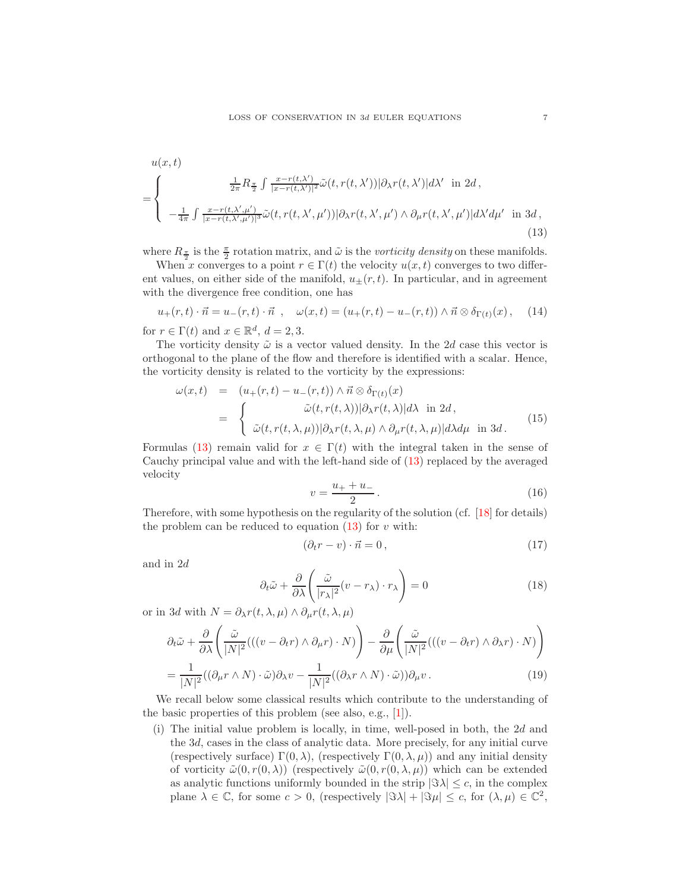$$
u(x,t)
$$
\n
$$
= \begin{cases}\n\frac{1}{2\pi} R_{\frac{\pi}{2}} \int \frac{x - r(t,\lambda')}{|x - r(t,\lambda')|^2} \tilde{\omega}(t, r(t,\lambda')) |\partial_{\lambda} r(t,\lambda')| d\lambda' \text{ in } 2d, \\
-\frac{1}{4\pi} \int \frac{x - r(t,\lambda',\mu')}{|x - r(t,\lambda',\mu')|^3} \tilde{\omega}(t, r(t,\lambda',\mu')) |\partial_{\lambda} r(t,\lambda',\mu') \wedge \partial_{\mu} r(t,\lambda',\mu')| d\lambda' d\mu' \text{ in } 3d,\n\end{cases}
$$
\n(13)

where  $R_{\frac{\pi}{2}}$  is the  $\frac{\pi}{2}$  rotation matrix, and  $\tilde{\omega}$  is the *vorticity density* on these manifolds.

When x converges to a point  $r \in \Gamma(t)$  the velocity  $u(x, t)$  converges to two different values, on either side of the manifold,  $u_{\pm}(r, t)$ . In particular, and in agreement with the divergence free condition, one has

$$
u_{+}(r,t)\cdot\vec{n} = u_{-}(r,t)\cdot\vec{n} \ , \quad \omega(x,t) = (u_{+}(r,t) - u_{-}(r,t)) \wedge \vec{n} \otimes \delta_{\Gamma(t)}(x) \ , \quad (14)
$$

for  $r \in \Gamma(t)$  and  $x \in \mathbb{R}^d$ ,  $d = 2, 3$ .

<span id="page-6-5"></span>The vorticity density  $\tilde{\omega}$  is a vector valued density. In the 2d case this vector is orthogonal to the plane of the flow and therefore is identified with a scalar. Hence, the vorticity density is related to the vorticity by the expressions:

$$
\omega(x,t) = (u_{+}(r,t) - u_{-}(r,t)) \wedge \vec{n} \otimes \delta_{\Gamma(t)}(x)
$$
  
= 
$$
\begin{cases} \tilde{\omega}(t,r(t,\lambda))|\partial_{\lambda}r(t,\lambda)|d\lambda \text{ in } 2d, \\ \tilde{\omega}(t,r(t,\lambda,\mu))|\partial_{\lambda}r(t,\lambda,\mu) \wedge \partial_{\mu}r(t,\lambda,\mu)|d\lambda d\mu \text{ in } 3d. \end{cases}
$$
(15)

Formulas [\(13\)](#page-6-0) remain valid for  $x \in \Gamma(t)$  with the integral taken in the sense of Cauchy principal value and with the left-hand side of [\(13\)](#page-6-0) replaced by the averaged velocity

<span id="page-6-4"></span><span id="page-6-0"></span>
$$
v = \frac{u_+ + u_-}{2} \,. \tag{16}
$$

Therefore, with some hypothesis on the regularity of the solution (cf. [\[18\]](#page-12-16) for details) the problem can be reduced to equation  $(13)$  for v with:

$$
(\partial_t r - v) \cdot \vec{n} = 0, \qquad (17)
$$

<span id="page-6-2"></span>and in 2d

<span id="page-6-1"></span>
$$
\partial_t \tilde{\omega} + \frac{\partial}{\partial \lambda} \left( \frac{\tilde{\omega}}{|r_\lambda|^2} (v - r_\lambda) \cdot r_\lambda \right) = 0 \tag{18}
$$

<span id="page-6-3"></span>or in 3d with  $N = \partial_{\lambda} r(t, \lambda, \mu) \wedge \partial_{\mu} r(t, \lambda, \mu)$ 

$$
\partial_t \tilde{\omega} + \frac{\partial}{\partial \lambda} \left( \frac{\tilde{\omega}}{|N|^2} \left( \left( (v - \partial_t r) \wedge \partial_\mu r \right) \cdot N \right) \right) - \frac{\partial}{\partial \mu} \left( \frac{\tilde{\omega}}{|N|^2} \left( \left( (v - \partial_t r) \wedge \partial_\lambda r \right) \cdot N \right) \right)
$$
\n
$$
= \frac{1}{\lambda N!^2} \left( (\partial_\mu r \wedge N) \cdot \tilde{\omega} \right) \partial_\lambda v - \frac{1}{\lambda N!^2} \left( (\partial_\lambda r \wedge N) \cdot \tilde{\omega} \right) \partial_\mu v \,. \tag{19}
$$

$$
= \frac{1}{|N|^2} ((\partial_{\mu} r \wedge N) \cdot \tilde{\omega}) \partial_{\lambda} v - \frac{1}{|N|^2} ((\partial_{\lambda} r \wedge N) \cdot \tilde{\omega})) \partial_{\mu} v. \tag{19}
$$

We recall below some classical results which contribute to the understanding of the basic properties of this problem (see also, e.g., [\[1\]](#page-11-0)).

(i) The initial value problem is locally, in time, well-posed in both, the 2d and the 3d, cases in the class of analytic data. More precisely, for any initial curve (respectively surface)  $\Gamma(0, \lambda)$ , (respectively  $\Gamma(0, \lambda, \mu)$ ) and any initial density of vorticity  $\tilde{\omega}(0, r(0, \lambda))$  (respectively  $\tilde{\omega}(0, r(0, \lambda, \mu))$  which can be extended as analytic functions uniformly bounded in the strip  $|\Im \lambda| \leq c$ , in the complex plane  $\lambda \in \mathbb{C}$ , for some  $c > 0$ , (respectively  $|\Im \lambda| + |\Im \mu| \leq c$ , for  $(\lambda, \mu) \in \mathbb{C}^2$ ,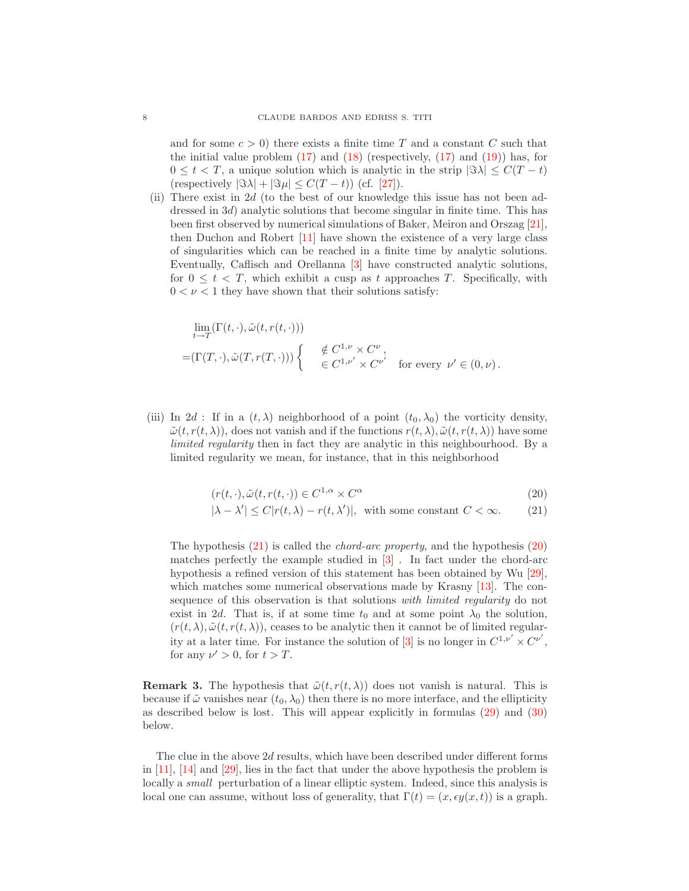and for some  $c > 0$ ) there exists a finite time T and a constant C such that the initial value problem  $(17)$  and  $(18)$  (respectively,  $(17)$  and  $(19)$ ) has, for  $0 \leq t < T$ , a unique solution which is analytic in the strip  $|\Im \lambda| \leq C(T - t)$ (respectively  $|\Im \lambda| + |\Im \mu| \leq C(T - t)$ ) (cf. [\[27\]](#page-12-15)).

(ii) There exist in  $2d$  (to the best of our knowledge this issue has not been addressed in 3*d*) analytic solutions that become singular in finite time. This has been first observed by numerical simulations of Baker, Meiron and Orszag [\[21\]](#page-12-17), then Duchon and Robert [\[11\]](#page-12-0) have shown the existence of a very large class of singularities which can be reached in a finite time by analytic solutions. Eventually, Caflisch and Orellanna [\[3\]](#page-11-3) have constructed analytic solutions, for  $0 \leq t < T$ , which exhibit a cusp as t approaches T. Specifically, with  $0 < \nu < 1$  they have shown that their solutions satisfy:

$$
\begin{aligned}\n&\lim_{t \to T} (\Gamma(t, \cdot), \tilde{\omega}(t, r(t, \cdot))) \\
&= (\Gamma(T, \cdot), \tilde{\omega}(T, r(T, \cdot))) \begin{cases}\n&\notin C^{1, \nu} \times C^{\nu} \\
&\in C^{1, \nu'} \times C^{\nu'}\n\end{cases} \text{ for every } \nu' \in (0, \nu).\n\end{aligned}
$$

(iii) In 2d : If in a  $(t, \lambda)$  neighborhood of a point  $(t_0, \lambda_0)$  the vorticity density,  $\tilde{\omega}(t, r(t, \lambda))$ , does not vanish and if the functions  $r(t, \lambda), \tilde{\omega}(t, r(t, \lambda))$  have some limited regularity then in fact they are analytic in this neighbourhood. By a limited regularity we mean, for instance, that in this neighborhood

$$
(r(t,\cdot),\tilde{\omega}(t,r(t,\cdot))\in C^{1,\alpha}\times C^{\alpha} \tag{20}
$$

$$
|\lambda - \lambda'| \le C |r(t, \lambda) - r(t, \lambda')|, \text{ with some constant } C < \infty.
$$
 (21)

<span id="page-7-0"></span>The hypothesis  $(21)$  is called the *chord-arc property*, and the hypothesis  $(20)$ matches perfectly the example studied in  $\boxed{3}$ . In fact under the chord-arc hypothesis a refined version of this statement has been obtained by Wu [\[29\]](#page-12-2), which matches some numerical observations made by Krasny [\[13\]](#page-12-18). The consequence of this observation is that solutions with limited regularity do not exist in 2d. That is, if at some time  $t_0$  and at some point  $\lambda_0$  the solution,  $(r(t, \lambda), \tilde{\omega}(t, r(t, \lambda))$ , ceases to be analytic then it cannot be of limited regular-ity at a later time. For instance the solution of [\[3\]](#page-11-3) is no longer in  $C^{1,\nu'} \times C^{\nu'}$ , for any  $\nu' > 0$ , for  $t > T$ .

**Remark 3.** The hypothesis that  $\tilde{\omega}(t, r(t, \lambda))$  does not vanish is natural. This is because if  $\tilde{\omega}$  vanishes near  $(t_0, \lambda_0)$  then there is no more interface, and the ellipticity as described below is lost. This will appear explicitly in formulas [\(29\)](#page-8-0) and [\(30\)](#page-8-0) below.

The clue in the above 2d results, which have been described under different forms in [\[11\]](#page-12-0), [\[14\]](#page-12-1) and [\[29\]](#page-12-2), lies in the fact that under the above hypothesis the problem is locally a *small* perturbation of a linear elliptic system. Indeed, since this analysis is local one can assume, without loss of generality, that  $\Gamma(t)=(x, \epsilon y(x, t))$  is a graph.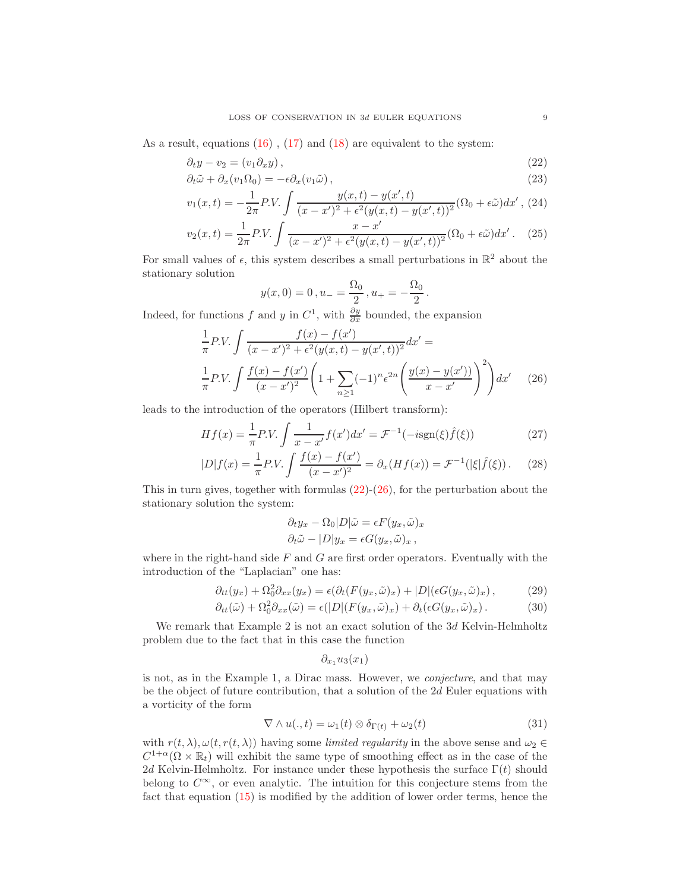<span id="page-8-1"></span>As a result, equations  $(16)$ ,  $(17)$  and  $(18)$  are equivalent to the system:

$$
\partial_t y - v_2 = (v_1 \partial_x y), \tag{22}
$$

$$
\partial_t \tilde{\omega} + \partial_x (v_1 \Omega_0) = -\epsilon \partial_x (v_1 \tilde{\omega}), \qquad (23)
$$

$$
v_1(x,t) = -\frac{1}{2\pi}PV.\int \frac{y(x,t) - y(x',t)}{(x-x')^2 + \epsilon^2(y(x,t) - y(x',t))^2}(\Omega_0 + \epsilon\tilde{\omega})dx',
$$
 (24)

$$
v_2(x,t) = \frac{1}{2\pi} P.V. \int \frac{x - x'}{(x - x')^2 + \epsilon^2 (y(x,t) - y(x',t))^2} (\Omega_0 + \epsilon \tilde{\omega}) dx'. \tag{25}
$$

For small values of  $\epsilon$ , this system describes a small perturbations in  $\mathbb{R}^2$  about the stationary solution

$$
y(x, 0) = 0, u_{-} = \frac{\Omega_0}{2}, u_{+} = -\frac{\Omega_0}{2}.
$$

<span id="page-8-2"></span>Indeed, for functions f and y in  $C^1$ , with  $\frac{\partial y}{\partial x}$  bounded, the expansion

$$
\frac{1}{\pi}P.V. \int \frac{f(x) - f(x')}{(x - x')^2 + \epsilon^2 (y(x, t) - y(x', t))^2} dx' =
$$
\n
$$
\frac{1}{\pi} P.V. \int \frac{f(x) - f(x')}{(x - x')^2} \left(1 + \sum_{n \ge 1} (-1)^n \epsilon^{2n} \left(\frac{y(x) - y(x')}{x - x'}\right)^2\right) dx' \tag{26}
$$

leads to the introduction of the operators (Hilbert transform):

$$
Hf(x) = \frac{1}{\pi} P.V. \int \frac{1}{x - x'} f(x') dx' = \mathcal{F}^{-1}(-i \text{sgn}(\xi) \hat{f}(\xi))
$$
 (27)

$$
|D|f(x) = \frac{1}{\pi} P.V. \int \frac{f(x) - f(x')}{(x - x')^2} = \partial_x (Hf(x)) = \mathcal{F}^{-1}(|\xi|\hat{f}(\xi)). \tag{28}
$$

This in turn gives, together with formulas  $(22)-(26)$  $(22)-(26)$  $(22)-(26)$ , for the perturbation about the stationary solution the system:

$$
\partial_t y_x - \Omega_0 |D| \tilde{\omega} = \epsilon F(y_x, \tilde{\omega})_x
$$
  

$$
\partial_t \tilde{\omega} - |D| y_x = \epsilon G(y_x, \tilde{\omega})_x,
$$

<span id="page-8-0"></span>where in the right-hand side  $F$  and  $G$  are first order operators. Eventually with the introduction of the "Laplacian" one has:

$$
\partial_{tt}(y_x) + \Omega_0^2 \partial_{xx}(y_x) = \epsilon(\partial_t (F(y_x, \tilde{\omega})_x) + |D|(\epsilon G(y_x, \tilde{\omega})_x), \tag{29}
$$

$$
\partial_{tt}(\tilde{\omega}) + \Omega_0^2 \partial_{xx}(\tilde{\omega}) = \epsilon(|D|(F(y_x, \tilde{\omega})_x) + \partial_t(\epsilon G(y_x, \tilde{\omega})_x). \tag{30}
$$

We remark that Example 2 is not an exact solution of the 3d Kelvin-Helmholtz problem due to the fact that in this case the function

$$
\partial_{x_1}u_3(x_1)
$$

is not, as in the Example 1, a Dirac mass. However, we conjecture, and that may be the object of future contribution, that a solution of the 2d Euler equations with a vorticity of the form

$$
\nabla \wedge u(.,t) = \omega_1(t) \otimes \delta_{\Gamma(t)} + \omega_2(t)
$$
\n(31)

with  $r(t, \lambda), \omega(t, r(t, \lambda))$  having some limited regularity in the above sense and  $\omega_2 \in$  $C^{1+\alpha}(\Omega \times \mathbb{R}_t)$  will exhibit the same type of smoothing effect as in the case of the 2d Kelvin-Helmholtz. For instance under these hypothesis the surface  $\Gamma(t)$  should belong to  $C^{\infty}$ , or even analytic. The intuition for this conjecture stems from the fact that equation [\(15\)](#page-6-5) is modified by the addition of lower order terms, hence the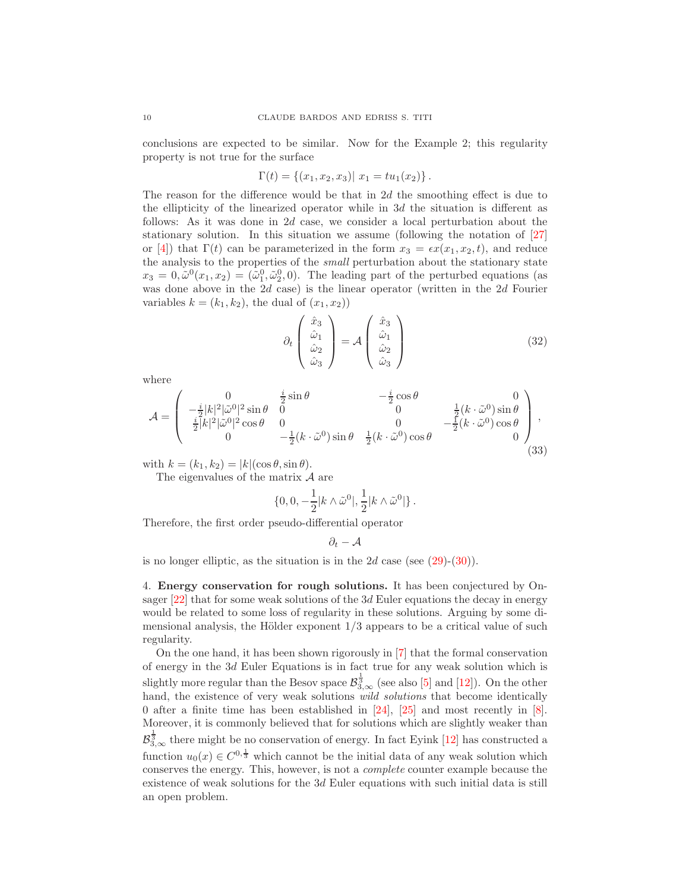conclusions are expected to be similar. Now for the Example 2; this regularity property is not true for the surface

$$
\Gamma(t) = \{(x_1, x_2, x_3) | x_1 = tu_1(x_2)\}.
$$

The reason for the difference would be that in 2d the smoothing effect is due to the ellipticity of the linearized operator while in  $3d$  the situation is different as follows: As it was done in 2d case, we consider a local perturbation about the stationary solution. In this situation we assume (following the notation of [\[27\]](#page-12-15) or [\[4\]](#page-11-4)) that  $\Gamma(t)$  can be parameterized in the form  $x_3 = \epsilon x(x_1, x_2, t)$ , and reduce the analysis to the properties of the small perturbation about the stationary state  $x_3 = 0, \tilde{\omega}^0(x_1, x_2) = (\tilde{\omega}_1^0, \tilde{\omega}_2^0, 0)$ . The leading part of the perturbed equations (as was done above in the  $2d$  case) is the linear operator (written in the  $2d$  Fourier variables  $k = (k_1, k_2)$ , the dual of  $(x_1, x_2)$ 

$$
\partial_t \begin{pmatrix} \hat{x}_3 \\ \hat{\omega}_1 \\ \hat{\omega}_2 \\ \hat{\omega}_3 \end{pmatrix} = \mathcal{A} \begin{pmatrix} \hat{x}_3 \\ \hat{\omega}_1 \\ \hat{\omega}_2 \\ \hat{\omega}_3 \end{pmatrix}
$$
(32)

where

$$
\mathcal{A} = \begin{pmatrix}\n0 & \frac{i}{2}\sin\theta & -\frac{i}{2}\cos\theta & 0 \\
-\frac{i}{2}|k|^2|\tilde{\omega}^0|^2\sin\theta & 0 & 0 & \frac{1}{2}(k \cdot \tilde{\omega}^0)\sin\theta \\
\frac{i}{2}|k|^2|\tilde{\omega}^0|^2\cos\theta & 0 & 0 & -\frac{1}{2}(k \cdot \tilde{\omega}^0)\cos\theta \\
0 & -\frac{1}{2}(k \cdot \tilde{\omega}^0)\sin\theta & \frac{1}{2}(k \cdot \tilde{\omega}^0)\cos\theta\n\end{pmatrix},
$$
\n(33)

with  $k = (k_1, k_2) = |k|(\cos \theta, \sin \theta).$ 

The eigenvalues of the matrix  $\mathcal A$  are

$$
\{0,0,-\frac{1}{2}|k\wedge\tilde{\omega}^0|,\frac{1}{2}|k\wedge\tilde{\omega}^0|\}\ .
$$

Therefore, the first order pseudo-differential operator

$$
\partial_t - \mathcal{A}
$$

is no longer elliptic, as the situation is in the 2d case (see  $(29)-(30)$  $(29)-(30)$  $(29)-(30)$ ).

4. Energy conservation for rough solutions. It has been conjectured by Onsager [\[22\]](#page-12-3) that for some weak solutions of the 3d Euler equations the decay in energy would be related to some loss of regularity in these solutions. Arguing by some dimensional analysis, the Hölder exponent  $1/3$  appears to be a critical value of such regularity.

On the one hand, it has been shown rigorously in [\[7\]](#page-12-19) that the formal conservation of energy in the 3d Euler Equations is in fact true for any weak solution which is slightly more regular than the Besov space  $\mathcal{B}_{3,\infty}^{\frac{1}{3}}$  (see also [\[5\]](#page-11-5) and [\[12\]](#page-12-20)). On the other hand, the existence of very weak solutions *wild solutions* that become identically 0 after a finite time has been established in [\[24\]](#page-12-21), [\[25\]](#page-12-22) and most recently in [\[8\]](#page-12-8). Moreover, it is commonly believed that for solutions which are slightly weaker than  $\mathcal{B}_{3,\infty}^{\frac{1}{3}}$  there might be no conservation of energy. In fact Eyink [\[12\]](#page-12-20) has constructed a function  $u_0(x) \in C^{0,\frac{1}{3}}$  which cannot be the initial data of any weak solution which conserves the energy. This, however, is not a complete counter example because the existence of weak solutions for the 3d Euler equations with such initial data is still an open problem.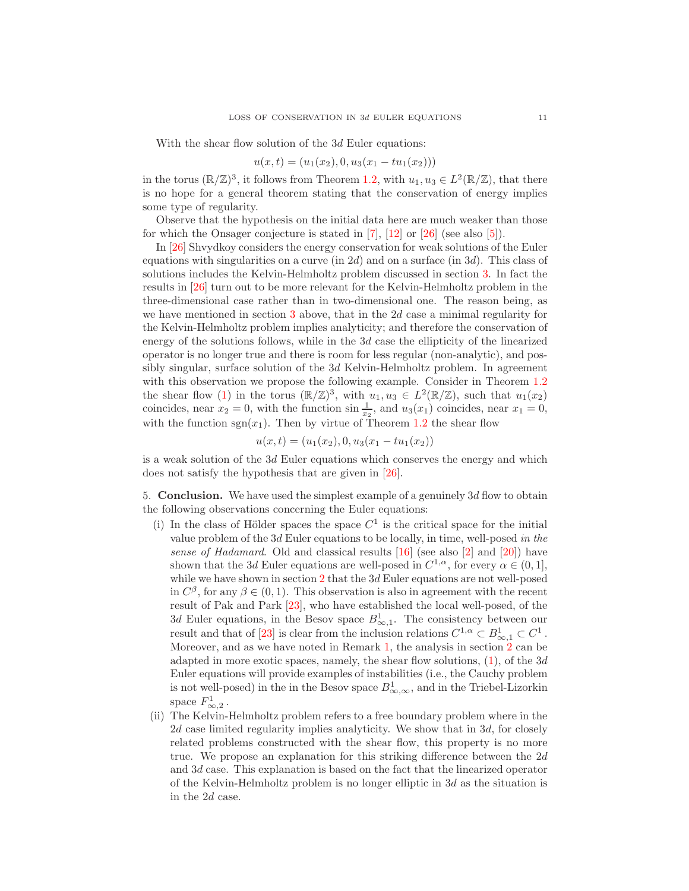With the shear flow solution of the 3d Euler equations:

$$
u(x,t) = (u_1(x_2), 0, u_3(x_1 - tu_1(x_2)))
$$

in the torus  $(\mathbb{R}/\mathbb{Z})^3$ , it follows from Theorem [1.2,](#page-1-3) with  $u_1, u_3 \in L^2(\mathbb{R}/\mathbb{Z})$ , that there is no hope for a general theorem stating that the conservation of energy implies some type of regularity.

Observe that the hypothesis on the initial data here are much weaker than those for which the Onsager conjecture is stated in [\[7\]](#page-12-19), [\[12\]](#page-12-20) or [\[26\]](#page-12-23) (see also [\[5\]](#page-11-5)).

In [\[26\]](#page-12-23) Shvydkoy considers the energy conservation for weak solutions of the Euler equations with singularities on a curve (in  $2d$ ) and on a surface (in  $3d$ ). This class of solutions includes the Kelvin-Helmholtz problem discussed in section [3.](#page-4-0) In fact the results in [\[26\]](#page-12-23) turn out to be more relevant for the Kelvin-Helmholtz problem in the three-dimensional case rather than in two-dimensional one. The reason being, as we have mentioned in section  $3$  above, that in the  $2d$  case a minimal regularity for the Kelvin-Helmholtz problem implies analyticity; and therefore the conservation of energy of the solutions follows, while in the 3d case the ellipticity of the linearized operator is no longer true and there is room for less regular (non-analytic), and possibly singular, surface solution of the 3d Kelvin-Helmholtz problem. In agreement with this observation we propose the following example. Consider in Theorem [1.2](#page-1-3) the shear flow [\(1\)](#page-1-1) in the torus  $(\mathbb{R}/\mathbb{Z})^3$ , with  $u_1, u_3 \in L^2(\mathbb{R}/\mathbb{Z})$ , such that  $u_1(x_2)$ coincides, near  $x_2 = 0$ , with the function  $\sin \frac{1}{x_2}$ , and  $u_3(x_1)$  coincides, near  $x_1 = 0$ , with the function  $sgn(x_1)$ . Then by virtue of Theorem [1.2](#page-1-3) the shear flow

$$
u(x,t) = (u_1(x_2), 0, u_3(x_1 - tu_1(x_2))
$$

is a weak solution of the 3d Euler equations which conserves the energy and which does not satisfy the hypothesis that are given in [\[26\]](#page-12-23).

5. Conclusion. We have used the simplest example of a genuinely  $3d$  flow to obtain the following observations concerning the Euler equations:

- (i) In the class of Hölder spaces the space  $C<sup>1</sup>$  is the critical space for the initial value problem of the 3d Euler equations to be locally, in time, well-posed in the sense of Hadamard. Old and classical results [\[16\]](#page-12-7) (see also [\[2\]](#page-11-2) and [\[20\]](#page-12-6)) have shown that the 3d Euler equations are well-posed in  $C^{1,\alpha}$ , for every  $\alpha \in (0,1]$ , while we have shown in section  $2$  that the  $3d$  Euler equations are not well-posed in  $C^{\beta}$ , for any  $\beta \in (0, 1)$ . This observation is also in agreement with the recent result of Pak and Park [\[23\]](#page-12-12), who have established the local well-posed, of the 3d Euler equations, in the Besov space  $B^1_{\infty,1}$ . The consistency between our result and that of [\[23\]](#page-12-12) is clear from the inclusion relations  $C^{1,\alpha} \subset B^1_{\infty,1} \subset C^1$ . Moreover, and as we have noted in Remark [1,](#page-4-1) the analysis in section [2](#page-2-2) can be adapted in more exotic spaces, namely, the shear flow solutions,  $(1)$ , of the 3d Euler equations will provide examples of instabilities (i.e., the Cauchy problem is not well-posed) in the in the Besov space  $B^1_{\infty,\infty}$ , and in the Triebel-Lizorkin space  $F_{\infty,2}^1$ .
- (ii) The Kelvin-Helmholtz problem refers to a free boundary problem where in the 2d case limited regularity implies analyticity. We show that in 3d, for closely related problems constructed with the shear flow, this property is no more true. We propose an explanation for this striking difference between the  $2d$ and 3d case. This explanation is based on the fact that the linearized operator of the Kelvin-Helmholtz problem is no longer elliptic in 3d as the situation is in the 2d case.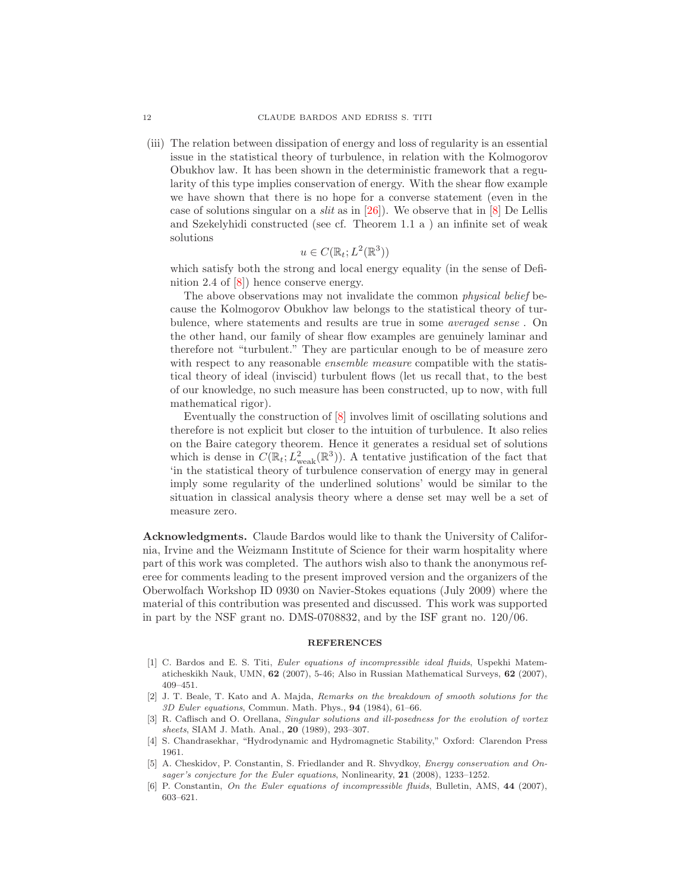(iii) The relation between dissipation of energy and loss of regularity is an essential issue in the statistical theory of turbulence, in relation with the Kolmogorov Obukhov law. It has been shown in the deterministic framework that a regularity of this type implies conservation of energy. With the shear flow example we have shown that there is no hope for a converse statement (even in the case of solutions singular on a *slit* as in  $[26]$ ). We observe that in  $[8]$  De Lellis and Szekelyhidi constructed (see cf. Theorem 1.1 a ) an infinite set of weak solutions

$$
u \in C(\mathbb{R}_t; L^2(\mathbb{R}^3))
$$

which satisfy both the strong and local energy equality (in the sense of Definition 2.4 of [\[8\]](#page-12-8)) hence conserve energy.

The above observations may not invalidate the common physical belief because the Kolmogorov Obukhov law belongs to the statistical theory of turbulence, where statements and results are true in some averaged sense . On the other hand, our family of shear flow examples are genuinely laminar and therefore not "turbulent." They are particular enough to be of measure zero with respect to any reasonable *ensemble measure* compatible with the statistical theory of ideal (inviscid) turbulent flows (let us recall that, to the best of our knowledge, no such measure has been constructed, up to now, with full mathematical rigor).

Eventually the construction of [\[8\]](#page-12-8) involves limit of oscillating solutions and therefore is not explicit but closer to the intuition of turbulence. It also relies on the Baire category theorem. Hence it generates a residual set of solutions which is dense in  $C(\mathbb{R}_t; L^2_{weak}(\mathbb{R}^3))$ . A tentative justification of the fact that 'in the statistical theory of turbulence conservation of energy may in general imply some regularity of the underlined solutions' would be similar to the situation in classical analysis theory where a dense set may well be a set of measure zero.

Acknowledgments. Claude Bardos would like to thank the University of California, Irvine and the Weizmann Institute of Science for their warm hospitality where part of this work was completed. The authors wish also to thank the anonymous referee for comments leading to the present improved version and the organizers of the Oberwolfach Workshop ID 0930 on Navier-Stokes equations (July 2009) where the material of this contribution was presented and discussed. This work was supported in part by the NSF grant no. DMS-0708832, and by the ISF grant no. 120/06.

## **REFERENCES**

- <span id="page-11-0"></span>[1] C. Bardos and E. S. Titi, *Euler equations of incompressible ideal fluids*, Uspekhi Matematicheskikh Nauk, UMN, 62 (2007), 5-46; Also in Russian Mathematical Surveys, 62 (2007), 409–451.
- <span id="page-11-2"></span>[2] J. T. Beale, T. Kato and A. Majda, Remarks on the breakdown of smooth solutions for the 3D Euler equations, Commun. Math. Phys., 94 (1984), 61–66.
- <span id="page-11-3"></span>[3] R. Caflisch and O. Orellana, Singular solutions and ill-posedness for the evolution of vortex sheets, SIAM J. Math. Anal., 20 (1989), 293-307.
- <span id="page-11-4"></span>[4] S. Chandrasekhar, "Hydrodynamic and Hydromagnetic Stability," Oxford: Clarendon Press 1961.
- <span id="page-11-5"></span>[5] A. Cheskidov, P. Constantin, S. Friedlander and R. Shvydkoy, Energy conservation and Onsager's conjecture for the Euler equations, Nonlinearity, 21 (2008), 1233-1252.
- <span id="page-11-1"></span>[6] P. Constantin, On the Euler equations of incompressible fluids, Bulletin, AMS, 44 (2007), 603–621.